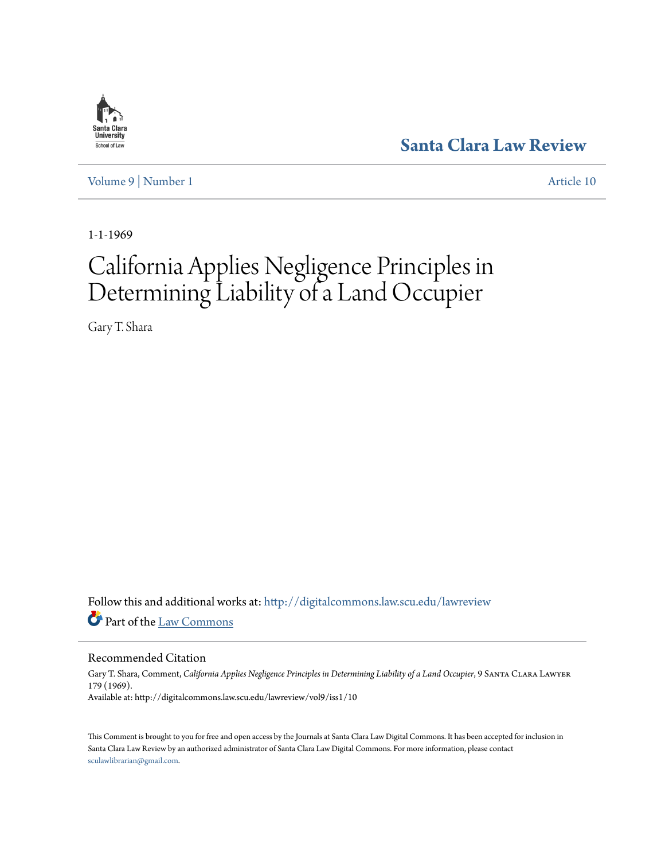

**[Santa Clara Law Review](http://digitalcommons.law.scu.edu/lawreview?utm_source=digitalcommons.law.scu.edu%2Flawreview%2Fvol9%2Fiss1%2F10&utm_medium=PDF&utm_campaign=PDFCoverPages)**

[Volume 9](http://digitalcommons.law.scu.edu/lawreview/vol9?utm_source=digitalcommons.law.scu.edu%2Flawreview%2Fvol9%2Fiss1%2F10&utm_medium=PDF&utm_campaign=PDFCoverPages) | [Number 1](http://digitalcommons.law.scu.edu/lawreview/vol9/iss1?utm_source=digitalcommons.law.scu.edu%2Flawreview%2Fvol9%2Fiss1%2F10&utm_medium=PDF&utm_campaign=PDFCoverPages) [Article 10](http://digitalcommons.law.scu.edu/lawreview/vol9/iss1/10?utm_source=digitalcommons.law.scu.edu%2Flawreview%2Fvol9%2Fiss1%2F10&utm_medium=PDF&utm_campaign=PDFCoverPages)

1-1-1969

# California Applies Negligence Principles in Determining Liability of a Land Occupier

Gary T. Shara

Follow this and additional works at: [http://digitalcommons.law.scu.edu/lawreview](http://digitalcommons.law.scu.edu/lawreview?utm_source=digitalcommons.law.scu.edu%2Flawreview%2Fvol9%2Fiss1%2F10&utm_medium=PDF&utm_campaign=PDFCoverPages) Part of the [Law Commons](http://network.bepress.com/hgg/discipline/578?utm_source=digitalcommons.law.scu.edu%2Flawreview%2Fvol9%2Fiss1%2F10&utm_medium=PDF&utm_campaign=PDFCoverPages)

Recommended Citation

Gary T. Shara, Comment, California Applies Negligence Principles in Determining Liability of a Land Occupier, 9 SANTA CLARA LAWYER 179 (1969). Available at: http://digitalcommons.law.scu.edu/lawreview/vol9/iss1/10

This Comment is brought to you for free and open access by the Journals at Santa Clara Law Digital Commons. It has been accepted for inclusion in Santa Clara Law Review by an authorized administrator of Santa Clara Law Digital Commons. For more information, please contact [sculawlibrarian@gmail.com](mailto:sculawlibrarian@gmail.com).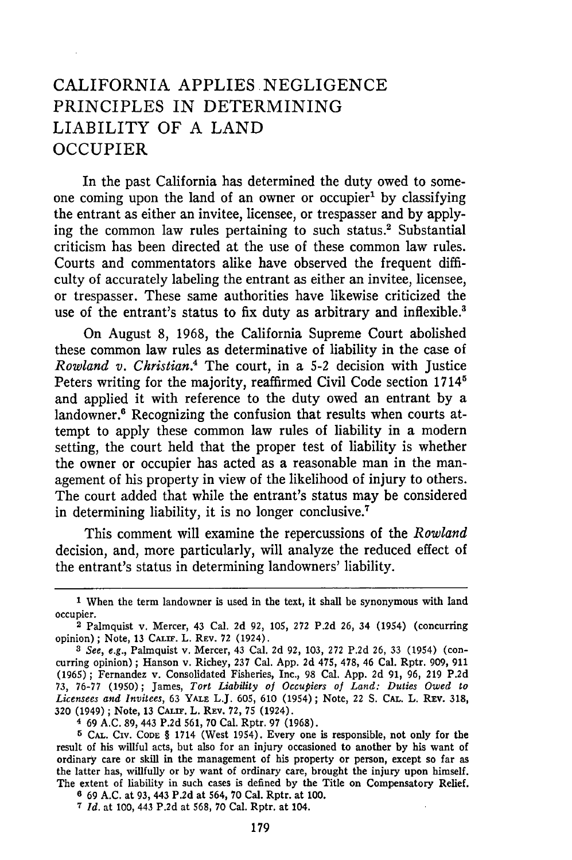# CALIFORNIA APPLIES NEGLIGENCE PRINCIPLES IN DETERMINING LIABILITY OF A LAND OCCUPIER

In the past California has determined the duty owed to someone coming upon the land of an owner or occupier' by classifying the entrant as either an invitee, licensee, or trespasser and by applying the common law rules pertaining to such status.<sup>2</sup> Substantial criticism has been directed at the use of these common law rules. Courts and commentators alike have observed the frequent difficulty of accurately labeling the entrant as either an invitee, licensee, or trespasser. These same authorities have likewise criticized the use of the entrant's status to fix duty as arbitrary and inflexible.<sup>3</sup>

On August 8, 1968, the California Supreme Court abolished these common law rules as determinative of liability in the case of *Rowland v. Christian.4* The court, in a 5-2 decision with Justice Peters writing for the majority, reaffirmed Civil Code section 1714<sup>5</sup> and applied it with reference to the duty owed an entrant by a landowner.<sup>6</sup> Recognizing the confusion that results when courts attempt to apply these common law rules of liability in a modern setting, the court held that the proper test of liability is whether the owner or occupier has acted as a reasonable man in the management of his property in view of the likelihood of injury to others. The court added that while the entrant's status may be considered in determining liability, it is no longer conclusive.7

This comment will examine the repercussions of the *Rowland* decision, and, more particularly, will analyze the reduced effect of the entrant's status in determining landowners' liability.

**4** 69 A.C. **89,** 443 P.2d 561, 70 Cal. Rptr. 97 (1968).

**5 CAL.** CIv. **CODE** § 1714 (West 1954). Every one is responsible, not only for the result of his willful acts, but also for an injury occasioned to another by his want of ordinary care or skill in the management of his property or person, except so far as the latter has, willfully or by want of ordinary care, brought the injury upon himself. The extent of liability in such cases is defined by the Title on Compensatory Relief.

**<sup>6</sup>**69 **A.C.** at 93, 443 **P.2d** at 564, **70** Cal. Rptr. at 100.

<sup>T</sup>*Id.* at 100, 443 P.2d at 568, 70 Cal. Rptr. at 104.

**<sup>1</sup>** When the term landowner is used in the text, it shall be synonymous with land occupier.

**<sup>2</sup>**Palmquist v. Mercer, 43 Cal. 2d **92,** 105, 272 P.2d 26, 34 (1954) (concurring opinion); Note, 13 CALiF. L. REV. **72** (1924).

*<sup>3</sup> See, e.g.,* Palmquist v. Mercer, 43 Cal. **2d** 92, 103, 272 P.2d 26, 33 (1954) (concurring opinion); Hanson v. Richey, 237 Cal. App. **2d** 475, 478, 46 Cal. Rptr. 909, 911 (1965) ; Fernandez v. Consolidated Fisheries, Inc., 98 Cal. App. 2d 91, 96, **219** P.2d 73, 76-77 (1950) ; James, *Tort Liability of Occupiers of Land: Duties Owed to Licensees and Invitees,* 63 **YALE** L.J. 605, 610 (1954); Note, 22 S. **CAL.** L. Rv. 318, 320 (1949) ; Note, 13 **CALnI.** L. REV. **72,** 75 (1924).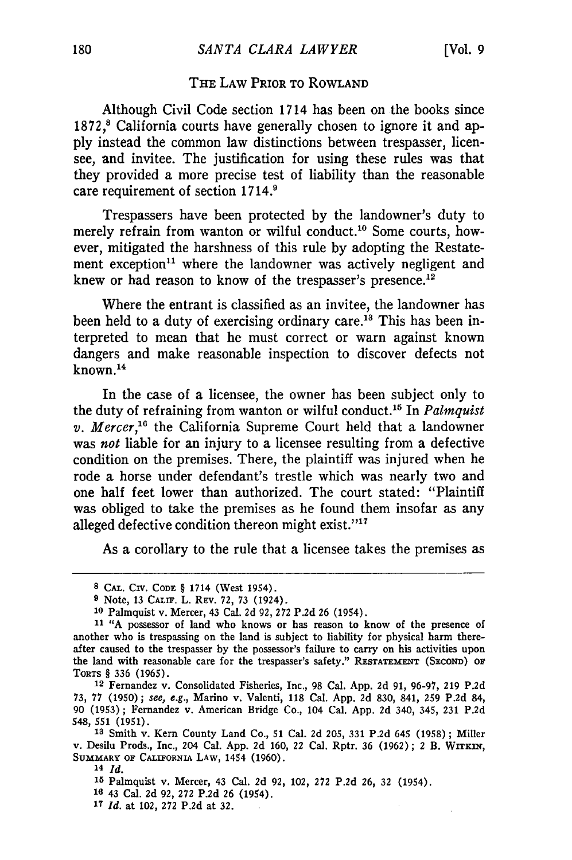## **TiE** LAW PRIOR TO ROWLAND

Although Civil Code section 1714 has been on the books since 1872,<sup>8</sup> California courts have generally chosen to ignore it and apply instead the common law distinctions between trespasser, licensee, and invitee. The justification for using these rules was that they provided a more precise test of liability than the reasonable care requirement of section 1714.<sup>9</sup>

Trespassers have been protected by the landowner's duty to merely refrain from wanton or wilful conduct.<sup>10</sup> Some courts, however, mitigated the harshness of this rule by adopting the Restatement exception<sup>11</sup> where the landowner was actively negligent and knew or had reason to know of the trespasser's presence.<sup>12</sup>

Where the entrant is classified as an invitee, the landowner has been held to a duty of exercising ordinary care.<sup>13</sup> This has been interpreted to mean that he must correct or warn against known dangers and make reasonable inspection to discover defects not  $k$ nown $14$ 

In the case of a licensee, the owner has been subject only to the duty of refraining from wanton or wilful conduct.<sup>15</sup> In *Palmquist v. Mercer*,<sup>16</sup> the California Supreme Court held that a landowner was *not* liable for an injury to a licensee resulting from a defective condition on the premises. There, the plaintiff was injured when he rode a horse under defendant's trestle which was nearly two and one half feet lower than authorized. The court stated: "Plaintiff was obliged to take the premises as he found them insofar as any alleged defective condition thereon might exist."<sup>17</sup>

As a corollary to the rule that a licensee takes the premises as

**14** *Id.*

**15** Palmquist v. Mercer, 43 Cal. 2d 92, 102, 272 P.2d 26, 32 (1954).

**16** 43 Cal. 2d 92, 272 P.2d 26 (1954).

*17 Id.* at 102, **272 P.2d** at **32.**

**<sup>8</sup> CAL. CIV. CODE** § 1714 (West 1954).

**<sup>9</sup>** Note, 13 CALiF. L. **REV. 72,** 73 (1924).

**<sup>10</sup>** Palmquist v. Mercer, 43 Cal. 2d 92, 272 P.2d 26 (1954).

**<sup>11 &</sup>quot;A** possessor of land who knows or has reason to know of the presence of another who is trespassing on the land is subject to liability for physical harm thereafter caused to the trespasser by the possessor's failure to carry on his activities upon the land with reasonable care for the trespasser's safety." **RESTATEMENT** (SEcoND) **OF** TORTS § **336 (1965).**

<sup>12</sup> Fernandez v. Consolidated Fisheries, Inc., **98** Cal. **App. 2d 91, 96-97, 219 P.2d 73,** 77 **(1950);** see, e.g., Marino v. Valenti, 118 Cal. **App. 2d 830,** 841, **259 P.2d** 84, **90 (1953);** Fernandez v. American Bridge Co., 104 Cal. **App. 2d** 340, 345, **231 P.2d** 548, **551** (1951).

**<sup>13</sup>**Smith v. Kern County Land Co., 51 Cal. 2d 205, 331 P.2d 645 (1958) ; Miller v. Desilu Prods., Inc., 204 Cal. App. 2d 160, 22 Cal. Rptr. 36 (1962); 2 B. WrTKIn, **SUMMARY OF CALIFORNIA** LAW, 1454 (1960).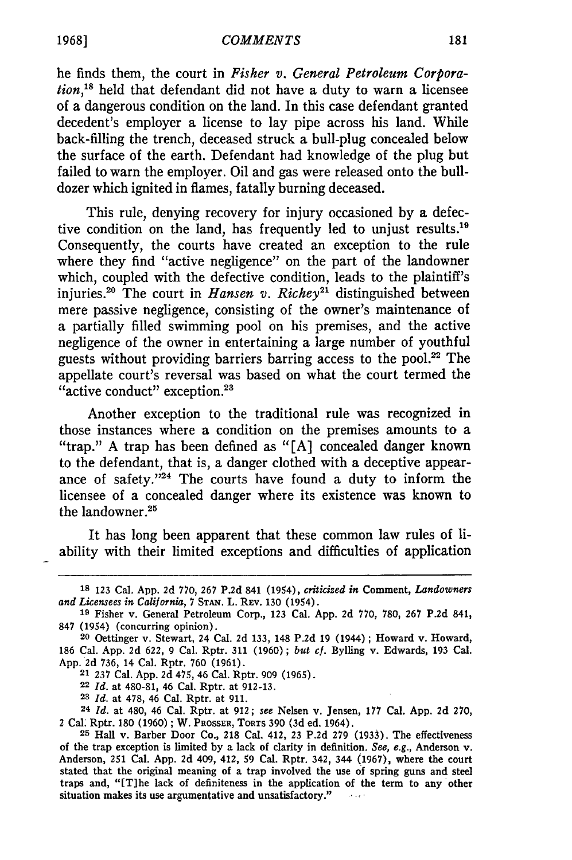#### *COMMENTS*

he finds them, the court in *Fisher v. General Petroleum Corporation,"8* held that defendant did not have a duty to warn a licensee of a dangerous condition on the land. In this case defendant granted decedent's employer a license to lay pipe across his land. While back-filling the trench, deceased struck a bull-plug concealed below the surface of the earth. Defendant had knowledge of the plug but failed to warn the employer. Oil and gas were released onto the bulldozer which ignited in flames, fatally burning deceased.

This rule, denying recovery for injury occasioned by a defective condition on the land, has frequently led to unjust results.'<sup>9</sup> Consequently, the courts have created an exception to the rule where they find "active negligence" on the part of the landowner which, coupled with the defective condition, leads to the plaintiff's injuries.<sup>20</sup> The court in *Hansen v. Richey*<sup>21</sup> distinguished between mere passive negligence, consisting of the owner's maintenance of a partially filled swimming pool on his premises, and the active negligence of the owner in entertaining a large number of youthful guests without providing barriers barring access to the pool. $22$  The appellate court's reversal was based on what the court termed the "active conduct" exception.<sup>23</sup>

Another exception to the traditional rule was recognized in those instances where a condition on the premises amounts to a "trap." A trap has been defined as "[A] concealed danger known to the defendant, that is, a danger clothed with a deceptive appearance of safety." $24$  The courts have found a duty to inform the licensee of a concealed danger where its existence was known to the landowner.<sup>25</sup>

It has long been apparent that these common law rules of liability with their limited exceptions and difficulties of application

**22** *Id.* at 480-81, 46 Cal. Rptr. at 912-13.

**<sup>23</sup>***Id.* at 478, 46 Cal. Rptr. at 911.

**24** *Id.* at 480, 46 Cal. Rptr. at 912; *see* Nelsen v. Jensen, **177** Cal. App. **2d** 270, 2 Cal. Rptr. 180 (1960) **;** W. PROSSER, TORTS 390 (3d ed. 1964).

**<sup>18</sup>**123 Cal. App. **2d** 770, 267 **P.2d** 841 (1954), *criticized in* Comment, *Landowners and Licensees in California, 7* **STAN.** L. REV. **130** (1954).

**<sup>19</sup>** Fisher v. General Petroleum Corp., **123** Cal. App. **2d** 770, 780, **267 P.2d** 841, 847 (1954) (concurring opinion).

**<sup>20</sup>** Oettinger v. Stewart, 24 Cal. **2d 133,** 148 **P.2d** 19 (1944); Howard v. Howard, 186 Cal. App. **2d** 622, 9 Cal. Rptr. **311** (1960) **;** *but cf.* Bylling v. Edwards, **193** Cal. App. **2d 736,** 14 Cal. Rptr. **760** (1961).

**<sup>21 237</sup>** Cal. App. **2d** 475, 46 Cal. Rptr. **909** (1965).

**<sup>25</sup>** Hall v. Barber Door Co., **218** Cal. 412, 23 P.2d **279** (1933). The effectiveness of the trap exception is limited by a lack of clarity in definition. *See, e.g.,* Anderson v. Anderson, 251 Cal. App. 2d 409, 412, **59** Cal. Rptr. 342, 344 (1967), where the court stated that the original meaning of a trap involved the use of spring guns and steel traps and, "[T]he lack of definiteness in the application of the term to any other situation makes its use argumentative and unsatisfactory."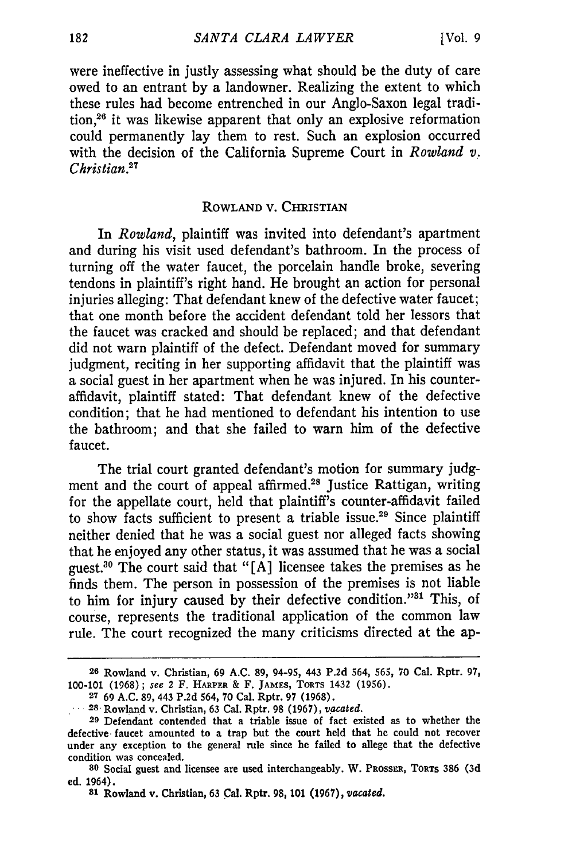were ineffective in justly assessing what should be the duty of care owed to an entrant by a landowner. Realizing the extent to which these rules had become entrenched in our Anglo-Saxon legal tradition,26 it was likewise apparent that only an explosive reformation could permanently lay them to rest. Such an explosion occurred with the decision of the California Supreme Court in *Rowland v. Christian*<sup>27</sup>

### **ROWLAND** V. **CHRISTIAN**

In *Rowland,* plaintiff was invited into defendant's apartment and during his visit used defendant's bathroom. In the process of turning off the water faucet, the porcelain handle broke, severing tendons in plaintiff's right hand. He brought an action for personal injuries alleging: That defendant knew of the defective water faucet; that one month before the accident defendant told her lessors that the faucet was cracked and should be replaced; and that defendant did not warn plaintiff of the defect. Defendant moved for summary judgment, reciting in her supporting affidavit that the plaintiff was a social guest in her apartment when he was injured. In his counteraffidavit, plaintiff stated: That defendant knew of the defective condition; that he had mentioned to defendant his intention to use the bathroom; and that she failed to warn him of the defective faucet.

The trial court granted defendant's motion for summary judgment and the court of appeal affirmed.<sup>28</sup> Justice Rattigan, writing for the appellate court, held that plaintiff's counter-affidavit failed to show facts sufficient to present a triable issue.29 Since plaintiff neither denied that he was a social guest nor alleged facts showing that he enjoyed any other status, it was assumed that he was a social guest.30 The court said that "[A] licensee takes the premises as he finds them. The person in possession of the premises is not liable to him for injury caused by their defective condition."31 This, of course, represents the traditional application of the common law rule. The court recognized the many criticisms directed at the ap-

**<sup>26</sup>**Rowland **v. Christian, 69 A.C. 89,** 94-95, **443 P.2d** 564, **565, 70 Cal. Rptr. 97, 100-101** (1968); see 2 **F. HARPER & F. JAMES, TORTS 1432 (1956).**

**<sup>27</sup>**69 **A.C. 89,** 443 P.2d 564, 70 Cal. **Rptr.** 97 (1968).

**<sup>28.</sup>** Rowland v. Christian, 63 Cal. Rptr. **98 (1967),** *vacated.*

**<sup>29</sup>**Defendant contended that a triable issue of fact existed as to whether the defective. faucet amounted to a trap but the court held that he could not recover under any exception to the general rule since he failed to allege that the defective condition was concealed.

**<sup>80</sup>**Social guest and licensee are used interchangeably. W. PRossa, TORTS 386 **(3d** ed. 1964).

**<sup>81</sup>**Rowland v. Christian, 63 Cal. Rptr. **98, 101** (1967), *vacated.*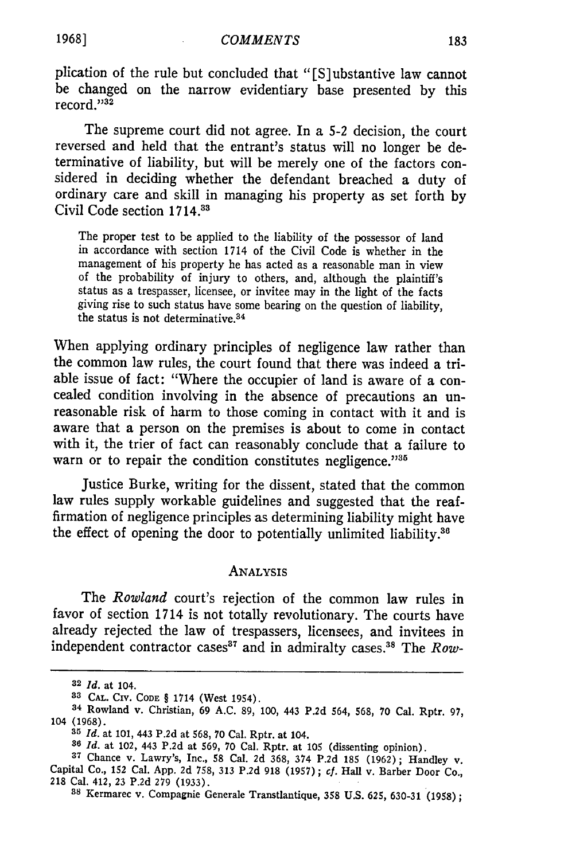plication of the rule but concluded that "[S]ubstantive law cannot be changed on the narrow evidentiary base presented by this record. $^{1932}$ 

The supreme court did not agree. In a 5-2 decision, the court reversed and held that the entrant's status will no longer be determinative of liability, but will be merely one of the factors considered in deciding whether the defendant breached a duty of ordinary care and skill in managing his property as set forth by Civil Code section 1714.3s

The proper test to be applied to the liability of the possessor of land in accordance with section 1714 of the Civil Code is whether in the management of his property he has acted as a reasonable man in view of the probability of injury to others, and, although the plaintiff's status as a trespasser, licensee, or invitee may in the light of the facts giving rise to such status have some bearing on the question of liability, the status is not determinative.<sup>34</sup>

When applying ordinary principles of negligence law rather than the common law rules, the court found that there was indeed a triable issue of fact: "Where the occupier of land is aware of a concealed condition involving in the absence of precautions an unreasonable risk of harm to those coming in contact with it and is aware that a person on the premises is about to come in contact with it, the trier of fact can reasonably conclude that a failure to warn or to repair the condition constitutes negligence."<sup>35</sup>

Justice Burke, writing for the dissent, stated that the common law rules supply workable guidelines and suggested that the reaffirmation of negligence principles as determining liability might have the effect of opening the door to potentially unlimited liability. $36$ 

### ANALYSIS

The *Rowland* court's rejection of the common law rules in favor of section 1714 is not totally revolutionary. The courts have already rejected the law of trespassers, licensees, and invitees in independent contractor cases<sup>37</sup> and in admiralty cases.<sup>38</sup> The *Row*-

**<sup>32</sup>** *Id.* at 104.

**<sup>33</sup> CAL.** CIV. **CODE** § 1714 (West 1954).

**<sup>34</sup>**Rowland v. Christian, 69 **A.C. 89, 100,** 443 **P.2d** 564, **568,** 70 Cal. Rptr. **97,** 104 **(1968).**

**<sup>35</sup>***Id.* at **101,** 443 **P.2d** at **568,** 70 Cal. Rptr. at 104.

*<sup>386</sup> Id.* at 102, 443 **P.2d at** 569, **70 Cal. Rptr. at 105** (dissenting opinion).

**<sup>37</sup> Chance v. Lawry's, Inc., 58 Cal. 2d 368,** 374 **P.2d 185 (1962);** Handley v. Capital Co., **152** Cal. **App. 2d 758, 313 P.2d 918 (1957) ;** cf. **Hall v. Barber Door Co., <sup>218</sup>**Cal. **412, 23 P.2d 279 (1933). <sup>38</sup>**Kermarec v. Compagnie Generale Transtlantique, **358 U.S.** 625, 630-31 **(1958);**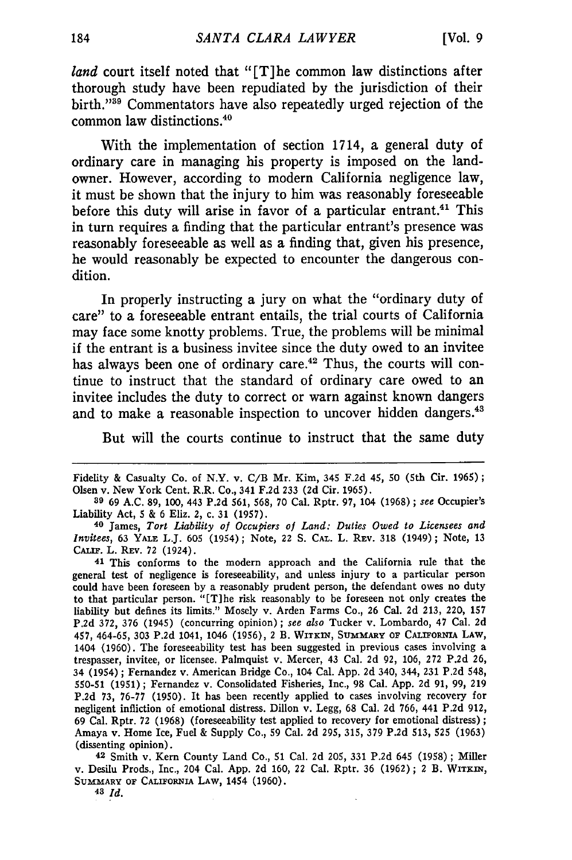*land* court itself noted that "[T]he common law distinctions after thorough study have been repudiated by the jurisdiction of their birth."<sup>39</sup> Commentators have also repeatedly urged rejection of the common law distinctions.<sup>40</sup>

With the implementation of section 1714, a general duty of ordinary care in managing his property is imposed on the landowner. However, according to modern California negligence law, it must be shown that the injury to him was reasonably foreseeable before this duty will arise in favor of a particular entrant.<sup>41</sup> This in turn requires a finding that the particular entrant's presence was reasonably foreseeable as well as a finding that, given his presence, he would reasonably be expected to encounter the dangerous condition.

In properly instructing a jury on what the "ordinary duty of care" to a foreseeable entrant entails, the trial courts of California may face some knotty problems. True, the problems will be minimal if the entrant is a business invitee since the duty owed to an invitee has always been one of ordinary care.<sup>42</sup> Thus, the courts will continue to instruct that the standard of ordinary care owed to an invitee includes the duty to correct or warn against known dangers and to make a reasonable inspection to uncover hidden dangers.<sup>43</sup>

But will the courts continue to instruct that the same duty

42 Smith v. Kern County Land Co., **51** Cal. 2d 205, 331 P.2d 645 (1958) **;** Miller v. Desilu Prods., Inc., 204 Cal. App. 2d 160, 22 Cal. Rptr. 36 (1962); 2 B. WITKIN, SUMMARY **OF** CALIFORNIA LAW, 1454 (1960).

**43** *Id.*

Fidelity & Casualty Co. of N.Y. v. C/B Mr. Kim, 345 F.2d 45, 50 (5th Cir. 1965); Olsen v. New York Cent. R.R. Co., 341 F.2d 233 (2d Cir. 1965).

**<sup>39</sup>** 69 A.C. 89, 100, 443 P.2d 561, 568, 70 Cal. Rptr. 97, 104 (1968) **;** see Occupier's Liability Act, 5 & 6 Eliz. 2, c. 31 (1957).

**<sup>40</sup>**James, *Tort Liability of Occupiers of Land: Duties Owed to Licensees and Invitees,* 63 YALE L.J. 605 (1954); Note, 22 S. **CAL.** L. REV. 318 (1949) **;** Note, 13 **CALIF.** L. REV. **72** (1924).

<sup>41</sup> This conforms to the modern approach and the California rule that the general test of negligence is foreseeability, and unless injury to a particular person could have been foreseen by a reasonably prudent person, the defendant owes no duty to that particular person. "[TIhe risk reasonably to be foreseen not only creates the liability but defines its limits." Mosely v. Arden Farms Co., 26 Cal. 2d 213, 220, 157 P.2d 372, 376 (1945) (concurring opinion) ; *see also* Tucker v. Lombardo, 47 Cal. 2d 457, 464-65, **303 P.2d** 1041, 1046 **(1956),** 2 B. WiTxIN, **SUMMARY OF CALIFORNIA LAW,** 1404 (1960). The foreseeability test has been suggested in previous cases involving a trespasser, invitee, or licensee. Palmquist v. Mercer, 43 Cal. 2d 92, 106, 272 P.2d 26, 34 (1954); Fernandez v. American Bridge Co., 104 Cal. **App.** 2d 340, 344, **231** P.2d 548, 550-51 (1951) **;** Fernandez v. Consolidated Fisheries, Inc., 98 Cal. App. 2d 91, 99, 219 P.2d 73, 76-77 (1950). It has been recently applied to cases involving recovery for negligent infliction of emotional distress. Dillon v. Legg, 68 Cal. 2d 766, 441 P.2d 912, 69 Cal. Rptr. 72 (1968) (foreseeability test applied to recovery for emotional distress) **;** Amaya v. Home Ice, Fuel & Supply Co., 59 Cal. 2d 295, 315, 379 P.2d 513, **525** (1963) (dissenting opinion).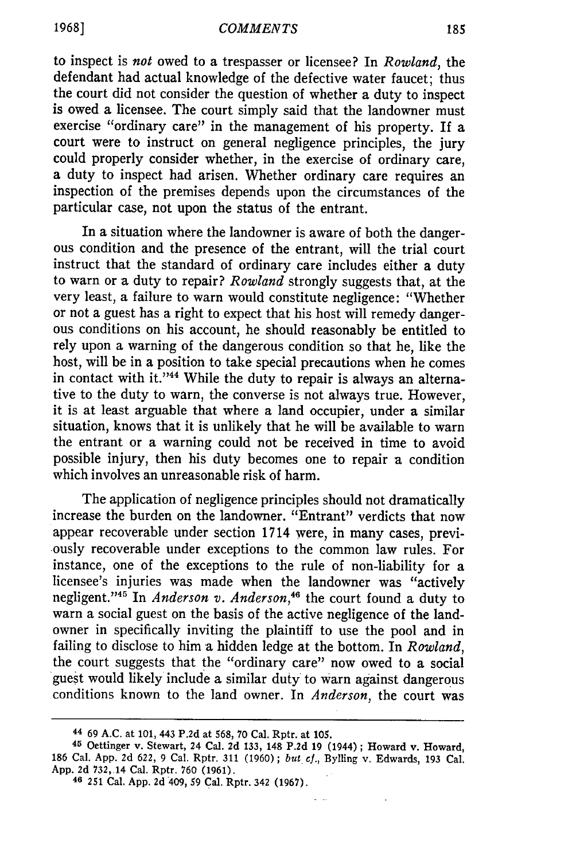to inspect is *not* owed to a trespasser or licensee? In *Rowland,* the defendant had actual knowledge of the defective water faucet; thus the court did not consider the question of whether a duty to inspect is owed a licensee. The court simply said that the landowner must exercise "ordinary care" in the management of his property. If a court were to instruct on general negligence principles, the jury could properly consider whether, in the exercise of ordinary care, a duty to inspect had arisen. Whether ordinary care requires an inspection of the premises depends upon the circumstances of the particular case, not upon the status of the entrant.

In a situation where the landowner is aware of both the dangerous condition and the presence of the entrant, will the trial court instruct that the standard of ordinary care includes either a duty to warn or a duty to repair? *Rowland* strongly suggests that, at the very least, a failure to warn would constitute negligence: "Whether or not a guest has a right to expect that his host will remedy dangerous conditions on his account, he should reasonably be entitled to rely upon a warning of the dangerous condition so that he, like the host, will be in a position to take special precautions when he comes in contact with it."<sup>44</sup> While the duty to repair is always an alternative to the duty to warn, the converse is not always true. However, it is at least arguable that where a land occupier, under a similar situation, knows that it is unlikely that he will be available to warn the entrant or a warning could not be received in time to avoid possible injury, then his duty becomes one to repair a condition which involves an unreasonable risk of harm.

The application of negligence principles should not dramatically increase the burden on the landowner. "Entrant" verdicts that now appear recoverable under section 1714 were, in many cases, previ- .ously recoverable under exceptions to the common law rules. For instance, one of the exceptions to the rule of non-liability for a licensee's injuries was made when the landowner was "actively negligent."<sup>45</sup> In *Anderson v. Anderson*,<sup>46</sup> the court found a duty to warn a social guest on the basis of the active negligence of the landowner in specifically inviting the plaintiff to use the pool and in failing to disclose to him a hidden ledge at the bottom. In *Rowland,* the court suggests that the "ordinary care" now owed to a social guest would likely include a similar duty to warn against dangerous conditions known to the land owner. In *Anderson,* the court was

 $\omega = \omega$  .

**<sup>44</sup>**69 A.C. at 101, 443 P.2d at 568, 70 Cal. Rptr. at 105.

**<sup>45</sup>**Oettinger v. Stewart, 24 Cal. 2d 133, 148 P.2d 19 (1944) ; Howard v. Howard, 186 Cal. App. 2d 622, 9 Cal. Rptr. 311 (1960); *but cf.,* Bylling v. Edwards, 193 Cal. App. 2d 732,14 Cal. Rptr. 760 (1961). **<sup>46</sup>251** Cal. App. **2d** 409, **59** Cal. Rptr. 342 (1967).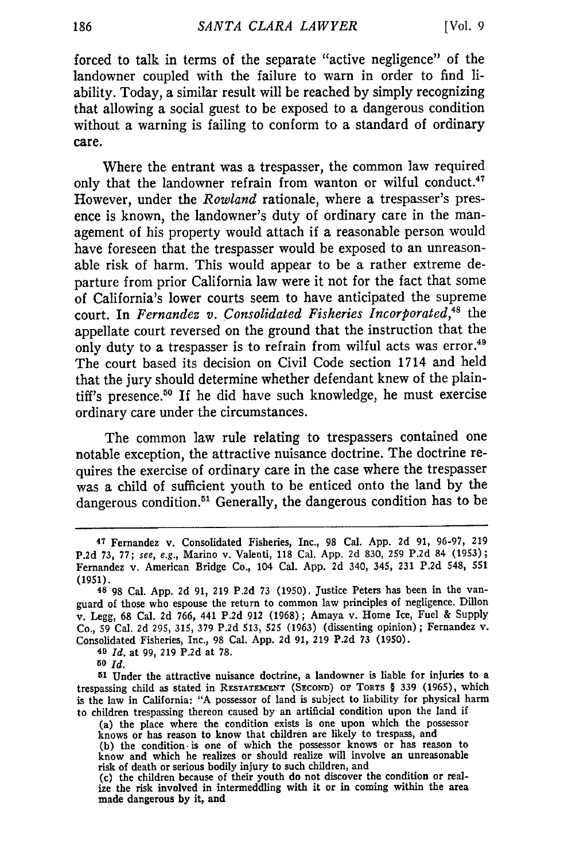forced to talk in terms of the separate "active negligence" of the landowner coupled with the failure to warn in order to find liability. Today, a similar result will be reached by simply recognizing that allowing a social guest to be exposed to a dangerous condition without a warning is failing to conform to a standard of ordinary care.

Where the entrant was a trespasser, the common law required only that the landowner refrain from wanton or wilful conduct.<sup>4</sup> However, under the *Rowland* rationale, where a trespasser's presence is known, the landowner's duty of ordinary care in the management of his property would attach if a reasonable person would have foreseen that the trespasser would be exposed to an unreasonable risk of harm. This would appear to be a rather extreme departure from prior California law were it not for the fact that some of California's lower courts seem to have anticipated the supreme court. In *Fernandez v. Consolidated Fisheries Incorporated*,<sup>48</sup> the appellate court reversed on the ground that the instruction that the only duty to a trespasser is to refrain from wilful acts was error.<sup>49</sup> The court based its decision on Civil Code section 1714 and held that the jury should determine whether defendant knew of the plaintiff's presence.<sup>50</sup> If he did have such knowledge, he must exercise ordinary care under the circumstances.

The common law rule relating to trespassers contained one notable exception, the attractive nuisance doctrine. The doctrine requires the exercise of ordinary care in the case where the trespasser was a child of sufficient youth to be enticed onto the land by the dangerous condition.<sup>51</sup> Generally, the dangerous condition has to be

**49** *Id.* at 99, 219 P.2d at 78.

*50 Id.*

**<sup>51</sup>**Under the attractive nuisance doctrine, a landowner is liable for injuries to a trespassing child as stated in **RESTATEMENT (SECOND)** Or TORTS § 339 (1965), which is the law in California: "A possessor of land is subject to liability for physical harm to children trespassing thereon caused by an artificial condition upon the land if

(a) the place where the condition exists is one upon which the possessor knows or has reason to know that children are likely to trespass, and (b) the condition is one of which the possessor knows or has reason to know and which he realizes or should realize will involve an unreasonable risk of death or serious bodily injury to such children, and

(c) the children because of their youth do not discover the condition or realize the risk involved in intermeddling with it or in coming within the area made dangerous **by** it, and

**<sup>47</sup>**Fernandez v. Consolidated Fisheries, Inc., 98 Cal. App. **2d 91,** 96-97, **219 P.2d 73, 77;** see, e.g., Marino v. Valenti, **118** Cal. **App. 2d 830, 259 P.2d** 84 **(1953);** Fernandez v. American Bridge Co., 104 Cal. **App. 2d** 340, 345, **231 P.2d** 548, **551** (1951).

**<sup>48</sup>** 98 Cal. **App.** 2d **91,** 219 P.2d 73 (1950). Justice Peters has been in the vanguard of those who espouse the return to common law principles of negligence. Dillon v. Legg, **68** Cal. 2d 766, 441 P.2d 912 (1968); Amaya v. Home Ice, Fuel & Supply Co., 59 Cal. 2d 295, 315, 379 P.2d 513, 525 (1963) (dissenting opinion) **;** Fernandez v. Consolidated Fisheries, Inc., 98 Cal. App. 2d **91,** 219 P.2d 73 (1950).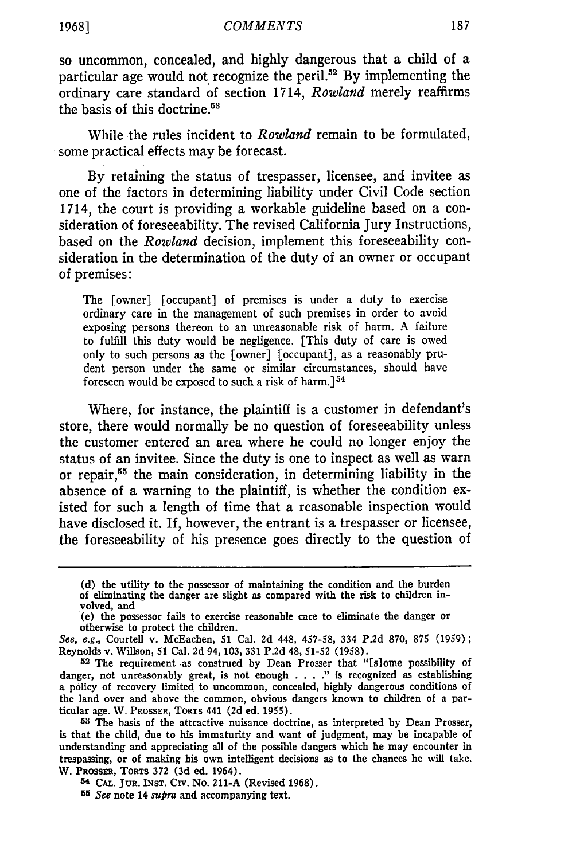#### *COMMENTS*

so uncommon, concealed, and **highly** dangerous that a child of a particular age would not recognize the peril.<sup>52</sup> By implementing the ordinary care standard of section 1714, *Rowland* merely reaffirms the basis of this doctrine. <sup>53</sup>

While the rules incident to *Rowland* remain to be formulated, some practical effects may be forecast.

**By** retaining the status of trespasser, licensee, and invitee as one of the factors in determining liability under Civil Code section 1714, the court is providing a workable guideline based on a consideration of foreseeability. The revised California Jury Instructions, based on the *Rowland* decision, implement this foreseeability consideration in the determination of the duty of an owner or occupant of premises:

The [owner] [occupant] of premises is under a duty to exercise ordinary care in the management of such premises in order to avoid exposing persons thereon to an unreasonable risk of harm. A failure to fulfill this duty would be negligence. [This duty of care is owed only to such persons as the [owner] [occupant], as a reasonably prudent person under the same or similar circumstances, should have foreseen would be exposed to such a risk of harm.] <sup>54</sup>

Where, for instance, the plaintiff is a customer in defendant's store, there would normally be no question of foreseeability unless the customer entered an area where he could no longer enjoy the status of an invitee. Since the duty is one to inspect as well as warn or repair,55 the main consideration, in determining liability in the absence of a warning to the plaintiff, is whether the condition existed for such a length of time that a reasonable inspection would have disclosed it. If, however, the entrant is a trespasser or licensee, the foreseeability of his presence goes directly to the question of

**1968]**

**<sup>(</sup>d)** the utility to the possessor of maintaining the condition and the burden of eliminating the danger are slight as compared with the risk to children involved, and

<sup>(</sup>e) the possessor fails to exercise reasonable care to eliminate the danger or otherwise to protect the children.

See, e.g., Courteil v. McEachen, **51** Cal. **2d** 448, **457-58,** 334 **P.2d 870, 875** (1959); Reynolds v. Wilson, **51** Cal. 2d 94, **103, 331 P.2d 48, 51-52 (1958).**

**<sup>52</sup>** The requirement as construed **by** Dean Prosser that "[slome possibility of danger, not unreasonably great, is not enough . **.** . **."** is recognized as establishing a policy of recovery limited to uncommon, concealed, **highly** dangerous conditions of the land over and above the common, obvious dangers known to children of a particular age. W. PROSSER, **TORTS** 441 (2d ed. 1955).

**<sup>53</sup> The** basis of the attractive nuisance doctrine, as interpreted **by** Dean Prosser, is that the child, due to his immaturity and want of judgment, may be incapable of understanding and appreciating all of the possible dangers which he may encounter in trespassing, or of making his own intelligent decisions as to the chances he **will** take. W. **PROSSER,** TORTS **372 (3d** ed. 1964).

**<sup>54</sup> CAL.** JUR. **INST.** Civ. No. **211-A** (Revised **1968).**

*<sup>55</sup>* See note 14 supra and accompanying text.